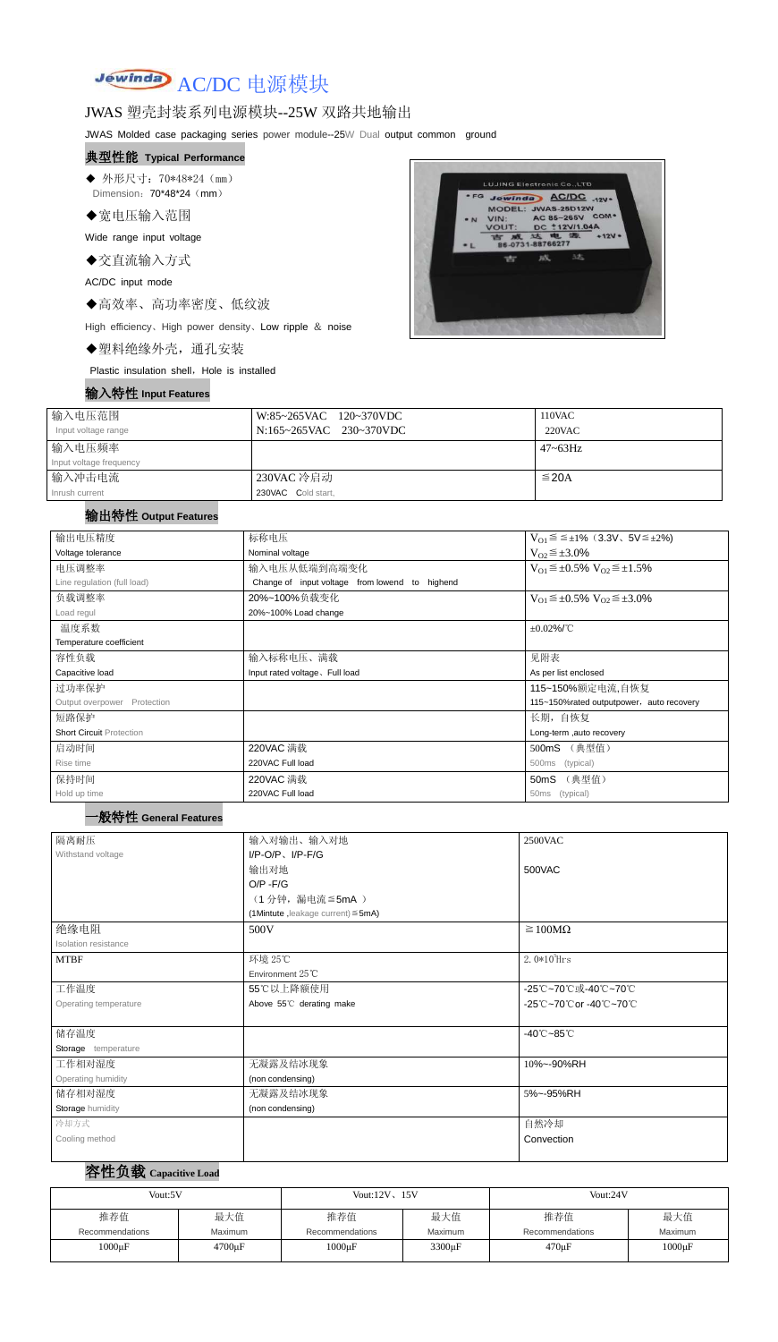# Jewinda AC/DC 电源模块

## JWAS 塑壳封装系列电源模块--25W 双路共地输出

JWAS Molded case packaging series power module--25W Dual output common ground

- ◆ 外形尺寸: 70\*48\*24 (mm) Dimension: 70\*48\*24 (mm)
- ◆宽电压输入范围

#### 典型性能 **Typical Performance**

Wide range input voltage

◆交直流输入方式

AC/DC input mode

◆高效率、高功率密度、低纹波

High efficiency、High power density、Low ripple & noise

◆塑料绝缘外壳,通孔安装

Plastic insulation shell, Hole is installed

#### 输入特性 **Input Features**



| 输入电压范围                  | W:85~265VAC 120~370VDC  | 110VAC       |
|-------------------------|-------------------------|--------------|
| Input voltage range     | N:165~265VAC 230~370VDC | 220VAC       |
| 输入电压频率                  |                         | $47 - 63$ Hz |
| Input voltage frequency |                         |              |
| 输入冲击电流                  | 230VAC 冷启动              | $\leq$ 20A   |
| Inrush current          | 230VAC Cold start,      |              |

#### 输出特性 **Output Features**

#### 一般特性 **General Features**

## 容性负载 **Capacitive Load**

| 输出电压精度                          | 标称电压                                              | $V_{01} \le \le \pm 1\%$ (3.3V, 5V $\le \pm 2\%$ )    |  |  |
|---------------------------------|---------------------------------------------------|-------------------------------------------------------|--|--|
| Voltage tolerance               | Nominal voltage                                   | $V_{O2} \leq \pm 3.0\%$                               |  |  |
| 电压调整率                           | 输入电压从低端到高端变化                                      | $V_{O1} \leq \pm 0.5\% \text{ V}_{O2} \leq \pm 1.5\%$ |  |  |
| Line regulation (full load)     | Change of input voltage from lowend to<br>highend |                                                       |  |  |
| 负载调整率                           | 20%~100%负载变化                                      | $V_{O1} \leq \pm 0.5\% \text{ V}_{O2} \leq \pm 3.0\%$ |  |  |
| Load regul                      | 20%~100% Load change                              |                                                       |  |  |
| 温度系数                            |                                                   | $\pm 0.02\%$ /°C                                      |  |  |
| Temperature coefficient         |                                                   |                                                       |  |  |
| 容性负载                            | 输入标称电压、满载                                         | 见附表                                                   |  |  |
| Capacitive load                 | Input rated voltage. Full load                    | As per list enclosed                                  |  |  |
| 过功率保护                           |                                                   | 115~150%额定电流,自恢复                                      |  |  |
| Output overpower Protection     |                                                   | 115~150% rated output power, auto recovery            |  |  |
| 短路保护                            |                                                   | 长期,自恢复                                                |  |  |
| <b>Short Circuit Protection</b> |                                                   | Long-term, auto recovery                              |  |  |
| 启动时间                            | 220VAC 满载                                         | 500mS (典型值)                                           |  |  |
| Rise time                       | 220VAC Full load                                  | (typical)<br>500 <sub>ms</sub>                        |  |  |
| 保持时间                            | 220VAC 满载                                         | (典型值)<br>50 <sub>m</sub> S                            |  |  |
| Hold up time                    | 220VAC Full load                                  | 50 <sub>ms</sub><br>(typical)                         |  |  |

| 隔离耐压                        | 输入对输出、输入对地                              | 2500VAC                         |  |  |
|-----------------------------|-----------------------------------------|---------------------------------|--|--|
| Withstand voltage           | $I/P-O/P$ , $I/P$ -F/G                  |                                 |  |  |
|                             | 输出对地                                    | 500VAC                          |  |  |
|                             | $O/P - F/G$                             |                                 |  |  |
|                             | (1分钟, 漏电流 ≦5mA)                         |                                 |  |  |
|                             | (1Mintute, leakage current) $\leq$ 5mA) |                                 |  |  |
| 绝缘电阻                        | 500V                                    | $\geq 100M\Omega$               |  |  |
| <b>Isolation resistance</b> |                                         |                                 |  |  |
| <b>MTBF</b>                 | 环境 25℃                                  | 2. $0*10^5$ Hrs                 |  |  |
|                             | Environment 25°C                        |                                 |  |  |
| 工作温度                        | 55℃以上降额使用                               | -25℃~70℃或-40℃~70℃               |  |  |
| Operating temperature       | Above 55°C derating make                | -25℃~70℃or -40℃~70℃             |  |  |
|                             |                                         |                                 |  |  |
| 储存温度                        |                                         | $-40^{\circ}$ C $-85^{\circ}$ C |  |  |
| Storage temperature         |                                         |                                 |  |  |
| 工作相对湿度                      | 无凝露及结冰现象                                | 10%~-90%RH                      |  |  |
| Operating humidity          | (non condensing)                        |                                 |  |  |
| 储存相对湿度                      | 无凝露及结冰现象                                | 5%~-95%RH                       |  |  |
| Storage humidity            | (non condensing)                        |                                 |  |  |
| 冷却方式                        |                                         | 自然冷却                            |  |  |
| Cooling method              |                                         | Convection                      |  |  |
|                             |                                         |                                 |  |  |

| Vout:5V         |              | Vout: $12V$ , $15V$ |         | Vout:24V        |             |  |
|-----------------|--------------|---------------------|---------|-----------------|-------------|--|
| 推荐值             | 最大值          | 推荐值                 | 最大值     | 推荐值             | 最大值         |  |
| Recommendations | Maximum      | Recommendations     | Maximum | Recommendations | Maximum     |  |
| $1000\mu F$     | $4700 \mu F$ | $1000\mu F$         | 3300µF  | $470 \mu F$     | $1000\mu F$ |  |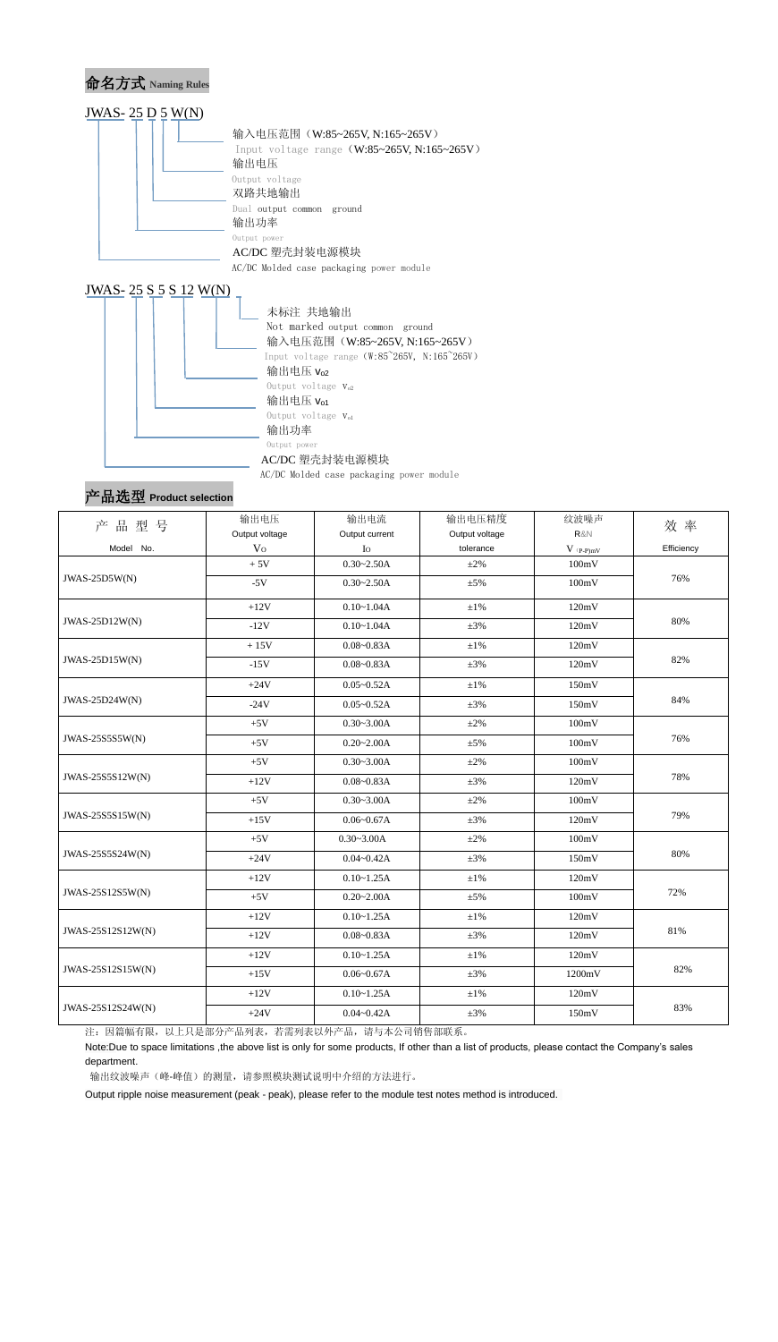

#### 产品选型 **Product selection**

| 品型号<br>产          | 输出电压           | 输出电流           | 输出电压精度         | 纹波噪声                                   | 效 率        |  |
|-------------------|----------------|----------------|----------------|----------------------------------------|------------|--|
|                   | Output voltage | Output current | Output voltage | R&N                                    |            |  |
| Model No.         | V <sub>O</sub> | $I_{\rm O}$    | tolerance      | $V$ $\mathrm{(}p\text{-}p\mathrm{)}mV$ | Efficiency |  |
|                   | $+5V$          | $0.30 - 2.50A$ | $\pm 2\%$      | 100mV                                  |            |  |
| JWAS-25D5W(N)     | $-5V$          | $0.30 - 2.50A$ | $\pm$ 5%       | 100mV                                  | 76%        |  |
|                   | $+12V$         | $0.10 - 1.04A$ | $\pm 1\%$      | 120mV                                  |            |  |
| JWAS-25D12W(N)    | $-12V$         | $0.10 - 1.04A$ | $\pm 3\%$      | 120mV                                  | 80%        |  |
|                   | $+15V$         | $0.08 - 0.83A$ | $\pm 1\%$      | 120mV                                  |            |  |
| JWAS-25D15W(N)    | $-15V$         | $0.08 - 0.83A$ | $\pm 3\%$      | 120mV                                  | 82%        |  |
|                   | $+24V$         | $0.05 - 0.52A$ | $\pm 1\%$      | 150mV                                  |            |  |
| JWAS-25D24W(N)    | $-24V$         | $0.05 - 0.52A$ | $\pm 3\%$      | 150mV                                  | 84%        |  |
|                   | $+5V$          | $0.30 - 3.00A$ | $\pm 2\%$      | 100mV                                  | 76%        |  |
| JWAS-25S555W(N)   | $+5V$          | $0.20 - 2.00A$ | $\pm$ 5%       | 100mV                                  |            |  |
|                   | $+5V$          | $0.30 - 3.00A$ | $\pm 2\%$      | 100mV                                  |            |  |
| JWAS-25S5S12W(N)  | $+12V$         | $0.08 - 0.83A$ | $\pm 3\%$      | 120mV                                  | 78%        |  |
|                   | $+5V$          | $0.30 - 3.00A$ | $\pm 2\%$      | 100mV                                  |            |  |
| JWAS-25S5S15W(N)  | $+15V$         | $0.06 - 0.67A$ | $\pm 3\%$      | 120mV                                  | 79%        |  |
|                   | $+5V$          | $0.30 - 3.00A$ | $\pm 2\%$      | 100mV                                  |            |  |
| JWAS-25S5S24W(N)  | $+24V$         | $0.04 - 0.42A$ | $\pm 3\%$      | 150mV                                  | 80%        |  |
| JWAS-25S12S5W(N)  | $+12V$         | $0.10 - 1.25A$ | $\pm 1\%$      | 120mV                                  |            |  |
|                   | $+5V$          | $0.20 - 2.00A$ | $\pm 5\%$      | 100mV                                  | 72%        |  |
| JWAS-25S12S12W(N) | $+12V$         | $0.10 - 1.25A$ | $\pm 1\%$      | 120mV                                  |            |  |
|                   | $+12V$         | $0.08 - 0.83A$ | $\pm 3\%$      | 120mV                                  | 81%        |  |
| JWAS-25S12S15W(N) | $+12V$         | $0.10 - 1.25A$ | $\pm 1\%$      | 120mV                                  |            |  |
|                   | $+15V$         | $0.06 - 0.67A$ | $\pm 3\%$      | 1200mV                                 | 82%        |  |
|                   | $+12V$         | $0.10 - 1.25A$ | $\pm 1\%$      | 120mV                                  |            |  |
| JWAS-25S12S24W(N) | $+24V$         | $0.04 - 0.42A$ | $\pm 3\%$      | 150mV                                  | 83%        |  |

注:因篇幅有限,以上只是部分产品列表,若需列表以外产品,请与本公司销售部联系。

Note:Due to space limitations ,the above list is only for some products, If other than a list of products, please contact the Company's sales department.

输出纹波噪声(峰-峰值)的测量,请参照模块测试说明中介绍的方法进行。

Output ripple noise measurement (peak - peak), please refer to the module test notes method is introduced.